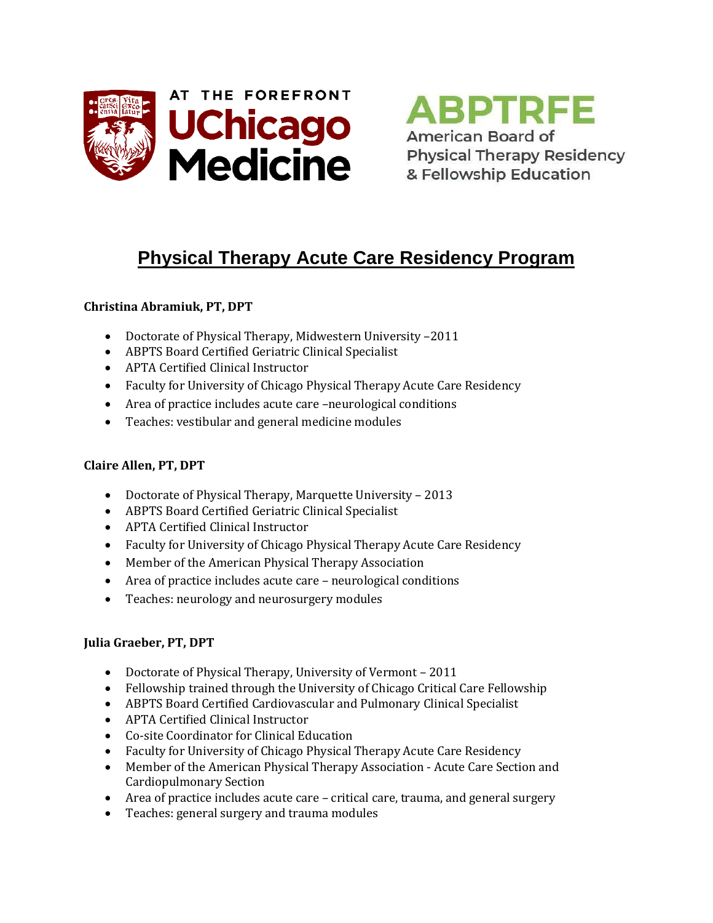



# **Physical Therapy Acute Care Residency Program**

## **Christina Abramiuk, PT, DPT**

- Doctorate of Physical Therapy, Midwestern University –2011
- ABPTS Board Certified Geriatric Clinical Specialist
- APTA Certified Clinical Instructor
- Faculty for University of Chicago Physical Therapy Acute Care Residency
- Area of practice includes acute care –neurological conditions
- Teaches: vestibular and general medicine modules

### **Claire Allen, PT, DPT**

- Doctorate of Physical Therapy, Marquette University 2013
- ABPTS Board Certified Geriatric Clinical Specialist
- APTA Certified Clinical Instructor
- Faculty for University of Chicago Physical Therapy Acute Care Residency
- Member of the American Physical Therapy Association
- Area of practice includes acute care neurological conditions
- Teaches: neurology and neurosurgery modules

### **Julia Graeber, PT, DPT**

- Doctorate of Physical Therapy, University of Vermont 2011
- Fellowship trained through the University of Chicago Critical Care Fellowship
- ABPTS Board Certified Cardiovascular and Pulmonary Clinical Specialist
- APTA Certified Clinical Instructor
- Co-site Coordinator for Clinical Education
- Faculty for University of Chicago Physical Therapy Acute Care Residency
- Member of the American Physical Therapy Association Acute Care Section and Cardiopulmonary Section
- Area of practice includes acute care critical care, trauma, and general surgery
- Teaches: general surgery and trauma modules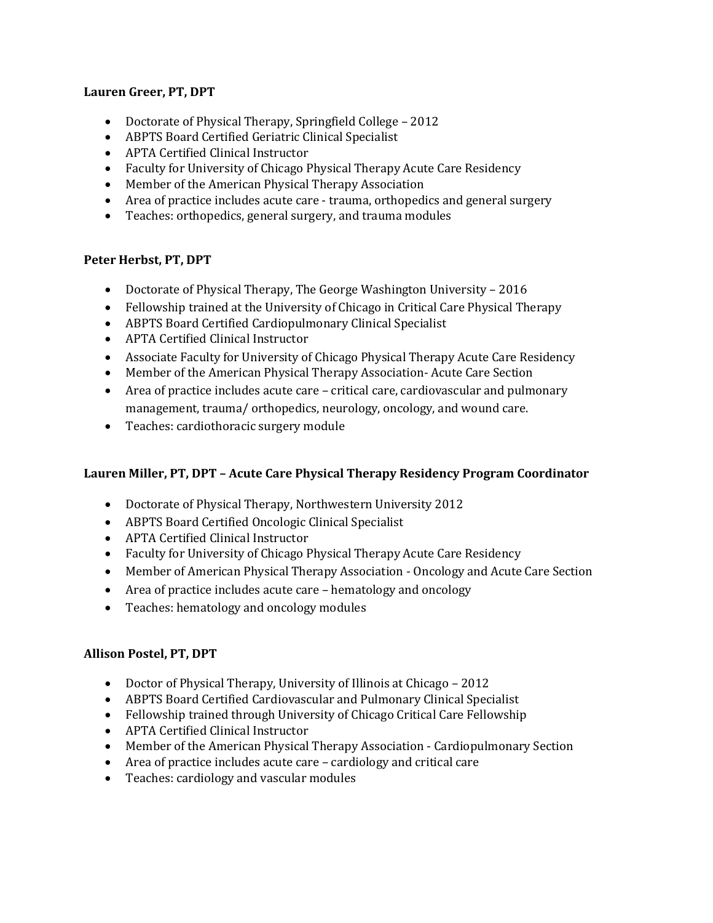#### **Lauren Greer, PT, DPT**

- Doctorate of Physical Therapy, Springfield College 2012
- ABPTS Board Certified Geriatric Clinical Specialist
- APTA Certified Clinical Instructor
- Faculty for University of Chicago Physical Therapy Acute Care Residency
- Member of the American Physical Therapy Association
- Area of practice includes acute care trauma, orthopedics and general surgery
- Teaches: orthopedics, general surgery, and trauma modules

### **Peter Herbst, PT, DPT**

- Doctorate of Physical Therapy, The George Washington University 2016
- Fellowship trained at the University of Chicago in Critical Care Physical Therapy
- ABPTS Board Certified Cardiopulmonary Clinical Specialist
- APTA Certified Clinical Instructor
- Associate Faculty for University of Chicago Physical Therapy Acute Care Residency
- Member of the American Physical Therapy Association- Acute Care Section
- Area of practice includes acute care critical care, cardiovascular and pulmonary management, trauma/ orthopedics, neurology, oncology, and wound care.
- Teaches: cardiothoracic surgery module

### **Lauren Miller, PT, DPT – Acute Care Physical Therapy Residency Program Coordinator**

- Doctorate of Physical Therapy, Northwestern University 2012
- ABPTS Board Certified Oncologic Clinical Specialist
- APTA Certified Clinical Instructor
- Faculty for University of Chicago Physical Therapy Acute Care Residency
- Member of American Physical Therapy Association Oncology and Acute Care Section
- Area of practice includes acute care hematology and oncology
- Teaches: hematology and oncology modules

### **Allison Postel, PT, DPT**

- Doctor of Physical Therapy, University of Illinois at Chicago 2012
- ABPTS Board Certified Cardiovascular and Pulmonary Clinical Specialist
- Fellowship trained through University of Chicago Critical Care Fellowship
- APTA Certified Clinical Instructor
- Member of the American Physical Therapy Association Cardiopulmonary Section
- Area of practice includes acute care cardiology and critical care
- Teaches: cardiology and vascular modules